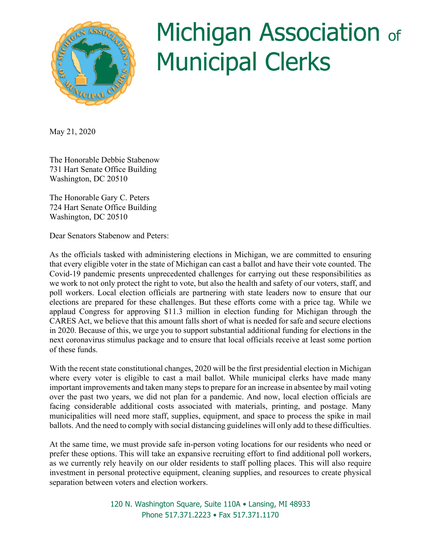

## Michigan Association of **Municipal Clerks**

May 21, 2020

The Honorable Debbie Stabenow 731 Hart Senate Office Building Washington, DC 20510

The Honorable Gary C. Peters 724 Hart Senate Office Building Washington, DC 20510

Dear Senators Stabenow and Peters:

As the officials tasked with administering elections in Michigan, we are committed to ensuring that every eligible voter in the state of Michigan can cast a ballot and have their vote counted. The Covid-19 pandemic presents unprecedented challenges for carrying out these responsibilities as we work to not only protect the right to vote, but also the health and safety of our voters, staff, and poll workers. Local election officials are partnering with state leaders now to ensure that our elections are prepared for these challenges. But these efforts come with a price tag. While we applaud Congress for approving \$11.3 million in election funding for Michigan through the CARES Act, we believe that this amount falls short of what is needed for safe and secure elections in 2020. Because of this, we urge you to support substantial additional funding for elections in the next coronavirus stimulus package and to ensure that local officials receive at least some portion of these funds.

With the recent state constitutional changes, 2020 will be the first presidential election in Michigan where every voter is eligible to cast a mail ballot. While municipal clerks have made many important improvements and taken many steps to prepare for an increase in absentee by mail voting over the past two years, we did not plan for a pandemic. And now, local election officials are facing considerable additional costs associated with materials, printing, and postage. Many municipalities will need more staff, supplies, equipment, and space to process the spike in mail ballots. And the need to comply with social distancing guidelines will only add to these difficulties.

At the same time, we must provide safe in-person voting locations for our residents who need or prefer these options. This will take an expansive recruiting effort to find additional poll workers, as we currently rely heavily on our older residents to staff polling places. This will also require investment in personal protective equipment, cleaning supplies, and resources to create physical separation between voters and election workers.

> 120 N. Washington Square, Suite 110A • Lansing, MI 48933 Phone 517.371.2223 • Fax 517.371.1170